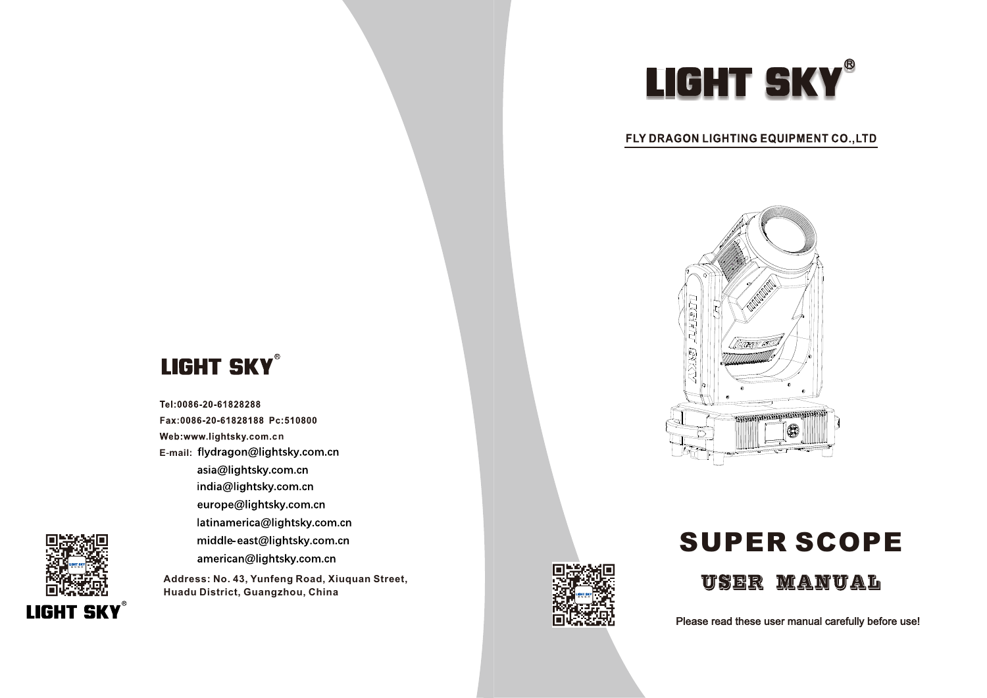# LIGHT SKY®

#### FLY DRAGON LIGHTING EQUIPMENT CO., LTD



## **LIGHT SKY®**

Tel:0086-20-61828288 Fax:0086-20-61828188 Pc:510800 Web:www.lightsky.com.cn **E**-**mail:** asia@lightsky.com.cn india@lightsky.com.cn europe@lightsky.com.cn latinamerica@lightsky.com.cn middle-east@lightsky.com.cn american@lightsky.com.cn

**Address: No. 43, Yunfeng Road, Xiuquan Street, Huadu District, Guangzhou, China**



## SUPER SCOPE



Please read these user manual carefully before use!

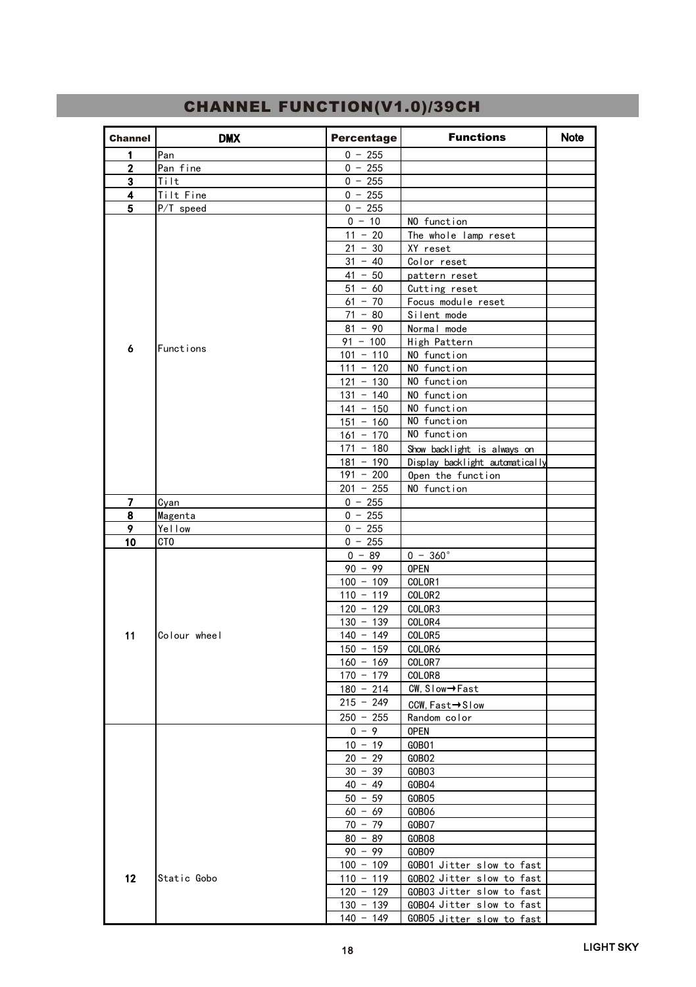| Channel        | <b>DMX</b>   | Percentage                 | <b>Functions</b>                   | <b>Note</b> |
|----------------|--------------|----------------------------|------------------------------------|-------------|
| 1              | Pan          | $0 - 255$                  |                                    |             |
| $\overline{2}$ | Pan fine     | $0 - 255$                  |                                    |             |
| 3              | Tilt         | $0 - 255$                  |                                    |             |
| 4              | Tilt Fine    | $0 - 255$                  |                                    |             |
| 5              | P/T speed    | $0 - 255$                  |                                    |             |
|                |              | $0 - 10$                   | NO function                        |             |
|                |              | $11 - 20$                  | The whole lamp reset               |             |
|                |              | $21 - 30$                  | XY reset                           |             |
|                |              | $31 - 40$                  | Color reset                        |             |
|                |              | $41 - 50$                  | pattern reset                      |             |
|                |              | $51 - 60$                  | Cutting reset                      |             |
|                |              | $61 - 70$                  | Focus module reset                 |             |
|                |              | $71 - 80$                  | Silent mode                        |             |
|                |              | $81 - 90$                  | Normal mode                        |             |
| 6              | Functions    | $91 - 100$                 | High Pattern                       |             |
|                |              | $101 - 110$                | NO function                        |             |
|                |              | $111 - 120$                | NO function                        |             |
|                |              | $121 - 130$                | NO function                        |             |
|                |              | $131 - 140$                | NO function                        |             |
|                |              | $141 - 150$<br>$151 - 160$ | NO function<br>NO function         |             |
|                |              | $161 - 170$                | NO function                        |             |
|                |              | $171 - 180$                | Show backlight is always on        |             |
|                |              | $181 - 190$                | Display backlight automatically    |             |
|                |              | $191 - 200$                | Open the function                  |             |
|                |              | $201 - 255$                | NO function                        |             |
| 7              | Cyan         | $0 - 255$                  |                                    |             |
| 8              | Magenta      | $0 - 255$                  |                                    |             |
| 9              | Yellow       | $0 - 255$                  |                                    |             |
| 10             | CTO          | $0 - 255$                  |                                    |             |
|                |              | $0 - 89$                   | $0 - 360^{\circ}$                  |             |
|                |              | $90 - 99$                  | <b>OPEN</b>                        |             |
|                |              | $100 - 109$                | COLOR1                             |             |
|                |              | $110 - 119$                | COLOR2                             |             |
|                |              | $120 - 129$                | COLOR3                             |             |
|                |              | $130 - 139$                | COLOR4                             |             |
| 11             | Colour wheel | $140 - 149$                | COLOR5                             |             |
|                |              | $150 - 159$                | COLOR6                             |             |
|                |              | $160 - 169$                | COLOR7                             |             |
|                |              | $170 - 179$                | COLOR8                             |             |
|                |              | $180 - 214$                | CW, Slow→Fast                      |             |
|                |              | $215 - 249$                | CCW, Fast→Slow                     |             |
|                |              | $250 - 255$                | Random color                       |             |
|                |              | $0 - 9$                    | <b>OPEN</b>                        |             |
|                |              | $10 - 19$                  | GOBO1                              |             |
|                |              | $20 - 29$                  | GOBO <sub>2</sub>                  |             |
|                |              | $30 - 39$                  | GOBO3                              |             |
|                |              | $40 - 49$                  | G0B04                              |             |
|                |              | $50 - 59$                  | GOBO <sub>5</sub>                  |             |
|                |              | $60 - 69$                  | GOBO6                              |             |
|                |              | $70 - 79$<br>$80 - 89$     | GOBO7<br>GOBO8                     |             |
|                |              | $90 - 99$                  |                                    |             |
|                |              | $100 - 109$                | GOBO9<br>GOBO1 Jitter slow to fast |             |
| 12             | Static Gobo  | $110 - 119$                | GOBO2 Jitter slow to fast          |             |
|                |              | $120 - 129$                | GOBO3 Jitter slow to fast          |             |
|                |              | $130 - 139$                | GOBO4 Jitter slow to fast          |             |
|                |              | $140 - 149$                | GOBO5 Jitter slow to fast          |             |

### **CHANNEL FUNCTION(V1.0)/39CH**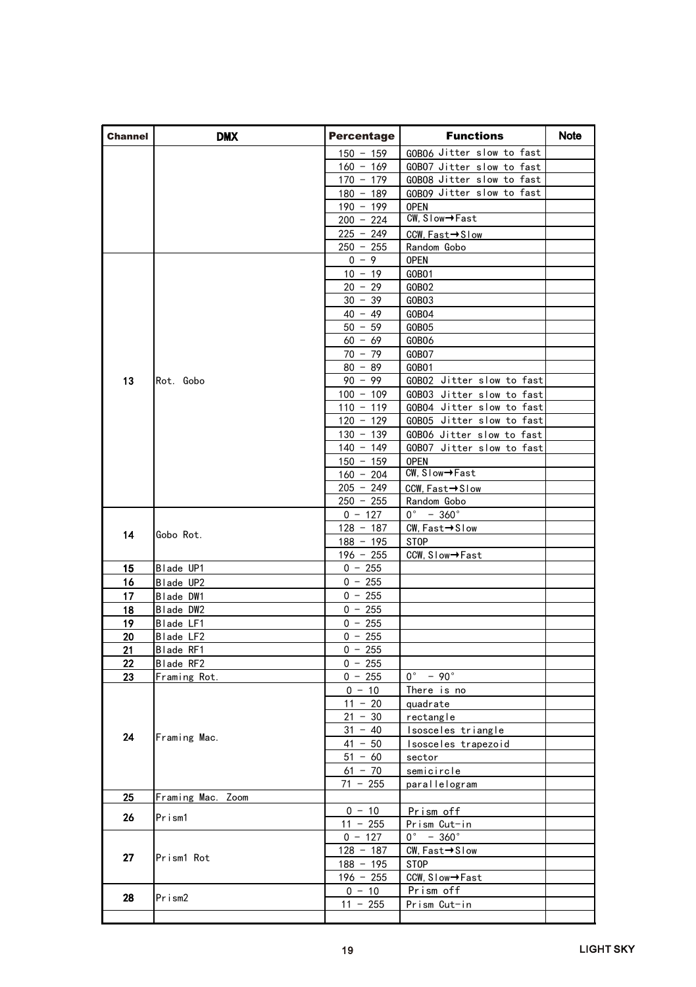| <b>Channel</b> | DMX               | Percentage  | <b>Functions</b>             | Note |
|----------------|-------------------|-------------|------------------------------|------|
|                |                   | $150 - 159$ | GOBO6 Jitter slow to fast    |      |
|                |                   | $160 - 169$ | GOBO7 Jitter slow to fast    |      |
|                |                   | $170 - 179$ | GOBO8 Jitter slow to fast    |      |
|                |                   | $180 - 189$ | GOBO9 Jitter slow to fast    |      |
|                |                   | $190 - 199$ | <b>OPEN</b>                  |      |
|                |                   | $200 - 224$ | CW, Slow→Fast                |      |
|                |                   | $225 - 249$ | CCW, Fast→Slow               |      |
|                |                   | $250 - 255$ | Random Gobo                  |      |
|                |                   | $0 - 9$     | <b>OPEN</b>                  |      |
|                |                   | $10 - 19$   | GOBO <sub>1</sub>            |      |
|                |                   | $20 - 29$   | GOBO <sub>2</sub>            |      |
|                |                   | $30 - 39$   | GOBO <sub>3</sub>            |      |
|                |                   | $40 - 49$   | G0B04                        |      |
|                |                   | $50 - 59$   | GOBO <sub>5</sub>            |      |
|                |                   | $60 - 69$   | G0B06                        |      |
|                |                   | $70 - 79$   | GOBO7                        |      |
|                |                   | $80 - 89$   | GOBO1                        |      |
| 13             | Rot. Gobo         | $90 - 99$   | GOBO2 Jitter slow to fast    |      |
|                |                   | $100 - 109$ | GOBO3 Jitter slow to fast    |      |
|                |                   | $110 - 119$ | GOBO4 Jitter slow to fast    |      |
|                |                   | $120 - 129$ | GOBO5 Jitter slow to fast    |      |
|                |                   | $130 - 139$ | GOBO6 Jitter slow to fast    |      |
|                |                   | $140 - 149$ | GOBO7 Jitter slow to fast    |      |
|                |                   | $150 - 159$ | <b>OPEN</b>                  |      |
|                |                   | $160 - 204$ | CW, Slow→Fast                |      |
|                |                   | $205 - 249$ | CCW, Fast→Slow               |      |
|                |                   | $250 - 255$ | Random Gobo                  |      |
|                |                   | $0 - 127$   | $0^{\circ}$ - 360 $^{\circ}$ |      |
| 14             | Gobo Rot.         | $128 - 187$ | CW, Fast→Slow                |      |
|                |                   | $188 - 195$ | <b>STOP</b>                  |      |
|                |                   | $196 - 255$ | CCW, Slow→Fast               |      |
| 15             | Blade UP1         | $0 - 255$   |                              |      |
| 16             | Blade UP2         | $0 - 255$   |                              |      |
| 17             | Blade DW1         | $0 - 255$   |                              |      |
| 18             | Blade DW2         | $0 - 255$   |                              |      |
| 19             | Blade LF1         | $0 - 255$   |                              |      |
| 20             | Blade LF2         | $0 - 255$   |                              |      |
| 21             | Blade RF1         | $0 - 255$   |                              |      |
| 22             | Blade RF2         | $0 - 255$   |                              |      |
| 23             | Framing Rot.      | $0 - 255$   | $0^\circ$ - 90 $^\circ$      |      |
|                | Framing Mac.      | $0 - 10$    | There is no                  |      |
|                |                   | $11 - 20$   | quadrate                     |      |
|                |                   | $21 - 30$   | rectangle                    |      |
| 24             |                   | $31 - 40$   | Isosceles triangle           |      |
|                |                   | $41 - 50$   | Isosceles trapezoid          |      |
|                |                   | $51 - 60$   | sector                       |      |
|                |                   | $61 - 70$   | semicircle                   |      |
|                |                   | $71 - 255$  | parallelogram                |      |
| 25             | Framing Mac. Zoom |             |                              |      |
| 26             | Prism1            | $0 - 10$    | Prism off                    |      |
|                |                   | $11 - 255$  | Prism Cut-in                 |      |
|                |                   | $0 - 127$   | $0^{\circ}$ - 360 $^{\circ}$ |      |
| 27             | Prism1 Rot        | $128 - 187$ | CW, Fast→Slow                |      |
|                |                   | $188 - 195$ | STOP                         |      |
|                |                   | $196 - 255$ | CCW, Slow→Fast               |      |
| 28             | Prism2            | $0 - 10$    | Prism off                    |      |
|                |                   | $11 - 255$  | Prism Cut-in                 |      |
|                |                   |             |                              |      |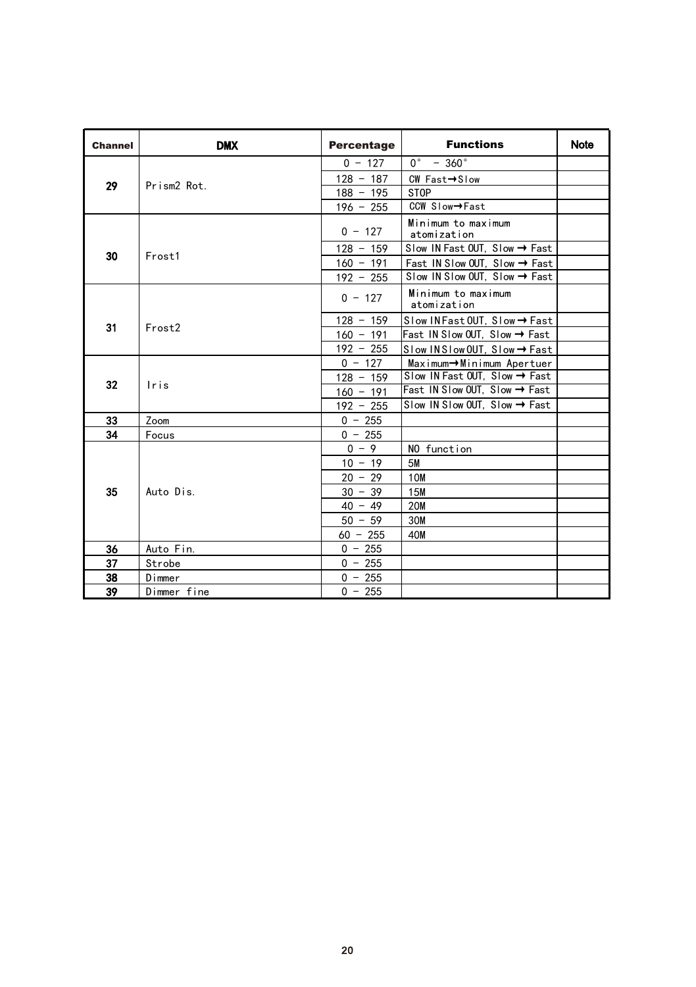| Channel | <b>DMX</b>              | Percentage  | <b>Functions</b>                          | <b>Note</b> |
|---------|-------------------------|-------------|-------------------------------------------|-------------|
| 29      |                         | $0 - 127$   | $0^{\circ}$ - 360 $^{\circ}$              |             |
|         | Prism <sub>2</sub> Rot. | $128 - 187$ | $CW$ Fast $\rightarrow$ Slow              |             |
|         |                         | $188 - 195$ | <b>STOP</b>                               |             |
|         |                         | $196 - 255$ | CCW Slow→Fast                             |             |
|         |                         | $0 - 127$   | Minimum to maximum<br>atomization         |             |
| 30      | Frost1                  | $128 - 159$ | Slow IN Fast OUT. Slow → Fast             |             |
|         |                         | $160 - 191$ | Fast IN Slow OUT, Slow → Fast             |             |
|         |                         | $192 - 255$ | Slow IN Slow OUT, Slow → Fast             |             |
|         |                         | $0 - 127$   | Minimum to maximum<br>atomization         |             |
| 31      |                         | $128 - 159$ | Slow INFast OUT, Slow → Fast              |             |
|         | Frost <sub>2</sub>      | $160 - 191$ | Fast IN Slow OUT, Slow → Fast             |             |
|         |                         | $192 - 255$ | Slow INSlow OUT. Slow → Fast              |             |
|         |                         | $0 - 127$   | Maximum→Minimum Apertuer                  |             |
| 32      |                         | $128 - 159$ | Slow IN Fast OUT. Slow $\rightarrow$ Fast |             |
|         | Iris                    | $160 - 191$ | Fast IN Slow OUT, Slow → Fast             |             |
|         |                         | $192 - 255$ | Slow IN Slow OUT, Slow $\rightarrow$ Fast |             |
| 33      | Zoom                    | $0 - 255$   |                                           |             |
| 34      | Focus                   | $0 - 255$   |                                           |             |
|         | Auto Dis                | $0 - 9$     | NO function                               |             |
|         |                         | $10 - 19$   | <b>5M</b>                                 |             |
|         |                         | $20 - 29$   | 10 <sub>M</sub>                           |             |
| 35      |                         | $30 - 39$   | <b>15M</b>                                |             |
|         |                         | $40 - 49$   | <b>20M</b>                                |             |
|         |                         | $50 - 59$   | 30M                                       |             |
|         |                         | $60 - 255$  | 40M                                       |             |
| 36      | Auto Fin.               | $0 - 255$   |                                           |             |
| 37      | Strobe                  | $0 - 255$   |                                           |             |
| 38      | Dimmer                  | $0 - 255$   |                                           |             |
| 39      | Dimmer fine             | $0 - 255$   |                                           |             |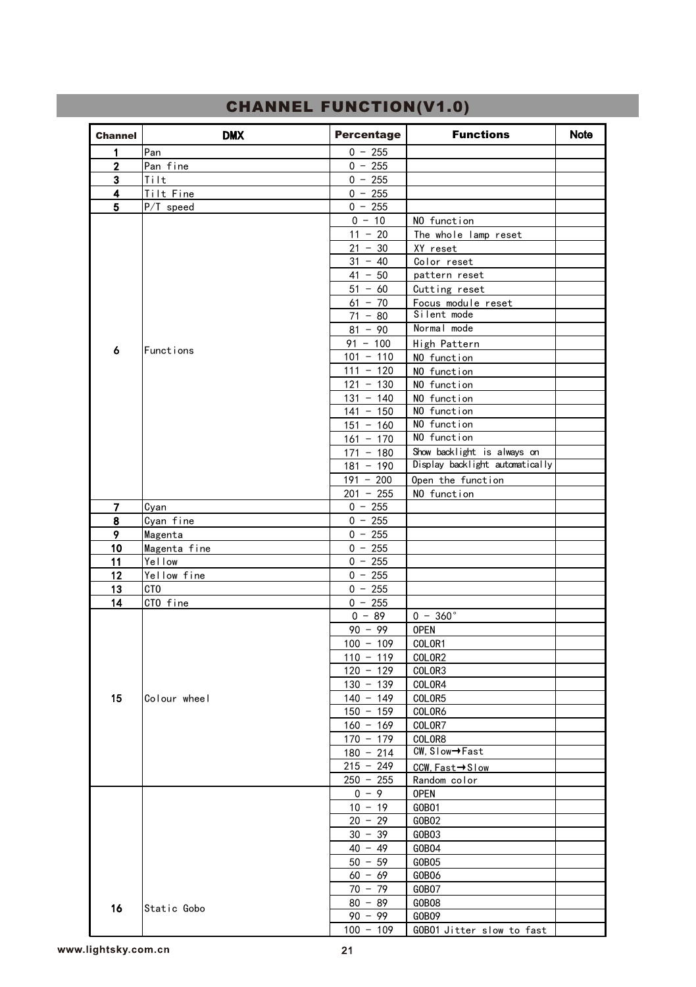| Channel        | <b>DMX</b>   | Percentage             | <b>Functions</b>                | Note |
|----------------|--------------|------------------------|---------------------------------|------|
| 1              | Pan          | $0 - 255$              |                                 |      |
| $\overline{2}$ | Pan fine     | $0 - 255$              |                                 |      |
| 3              | Tilt         | $0 - 255$              |                                 |      |
| 4              | Tilt Fine    | $0 - 255$              |                                 |      |
| 5              | P/T speed    | $0 - 255$              |                                 |      |
|                |              | $0 - 10$               | NO function                     |      |
|                |              | $11 - 20$              | The whole lamp reset            |      |
|                |              | $21 - 30$              | XY reset                        |      |
|                |              | $31 - 40$              | Color reset                     |      |
|                |              | $41 - 50$              | pattern reset                   |      |
|                |              | $51 - 60$              | Cutting reset                   |      |
|                |              | $61 - 70$              | Focus module reset              |      |
|                |              | $71 - 80$              | Silent mode                     |      |
|                |              | $81 - 90$              | Normal mode                     |      |
| 6              | Functions    | $91 - 100$             | High Pattern                    |      |
|                |              | $101 - 110$            | NO function                     |      |
|                |              | $111 - 120$            | NO function                     |      |
|                |              | $121 - 130$            | NO function                     |      |
|                |              | $131 - 140$            | NO function                     |      |
|                |              | $141 - 150$            | NO function                     |      |
|                |              | $151 - 160$            | NO function                     |      |
|                |              | $161 - 170$            | NO function                     |      |
|                |              | $171 - 180$            | Show backlight is always on     |      |
|                |              | $181 - 190$            | Display backlight automatically |      |
|                |              | $191 - 200$            | Open the function               |      |
|                |              | $\frac{1}{201}$ - 255  | NO function                     |      |
| 7              | Cyan         | $0 - 255$              |                                 |      |
| 8              | Cyan fine    | $0 - 255$              |                                 |      |
| 9              | Magenta      | $0 - 255$              |                                 |      |
| 10             | Magenta fine | $\overline{0}$ - 255   |                                 |      |
| 11             | Yellow       | $0 - 255$              |                                 |      |
| 12             | Yellow fine  | $0 - 255$              |                                 |      |
| 13             | CTO          | $0 - 255$              |                                 |      |
| 14             | CTO fine     | $0 - 255$              |                                 |      |
|                |              | $0 - 89$               | $0 - 360^{\circ}$               |      |
|                |              | $90 - 99$              | <b>OPEN</b>                     |      |
|                |              | $100 - 109$            | COLOR1                          |      |
|                |              | $110 - 119$            | COLOR2                          |      |
|                |              | $120 - 129$            | COLOR3                          |      |
|                |              | $130 - 139$            | COLOR4                          |      |
| 15             | Colour wheel | $140 - 149$            | COLOR5                          |      |
|                |              | $150 - 159$            | COLOR6                          |      |
|                |              | $160 - 169$            | COLOR7                          |      |
|                |              | $170 - 179$            | COLOR8<br>CW, Slow→Fast         |      |
|                |              | $180 - 214$            |                                 |      |
|                |              | $215 - 249$            | CCW, Fast→Slow                  |      |
|                |              | $250 - 255$            | Random color                    |      |
|                |              | $0 - 9$                | <b>OPEN</b>                     |      |
|                |              | $10 - 19$              | GOBO1                           |      |
|                |              | $20 - 29$              | GOBO <sub>2</sub>               |      |
|                |              | $30 - 39$<br>$40 - 49$ | GOBO3                           |      |
|                |              |                        | G0B04                           |      |
|                |              | $50 - 59$<br>$60 - 69$ | GOBO <sub>5</sub>               |      |
|                |              |                        | G0B06                           |      |
|                |              | $70 - 79$              | GOBO7                           |      |
| 16             | Static Gobo  | $80 - 89$              | G0B08                           |      |
|                |              | $90 - 99$              | G0B09                           |      |
|                |              | $100 - 109$            | GOBO1 Jitter slow to fast       |      |

#### CHANNEL FUNCTION(V1.0)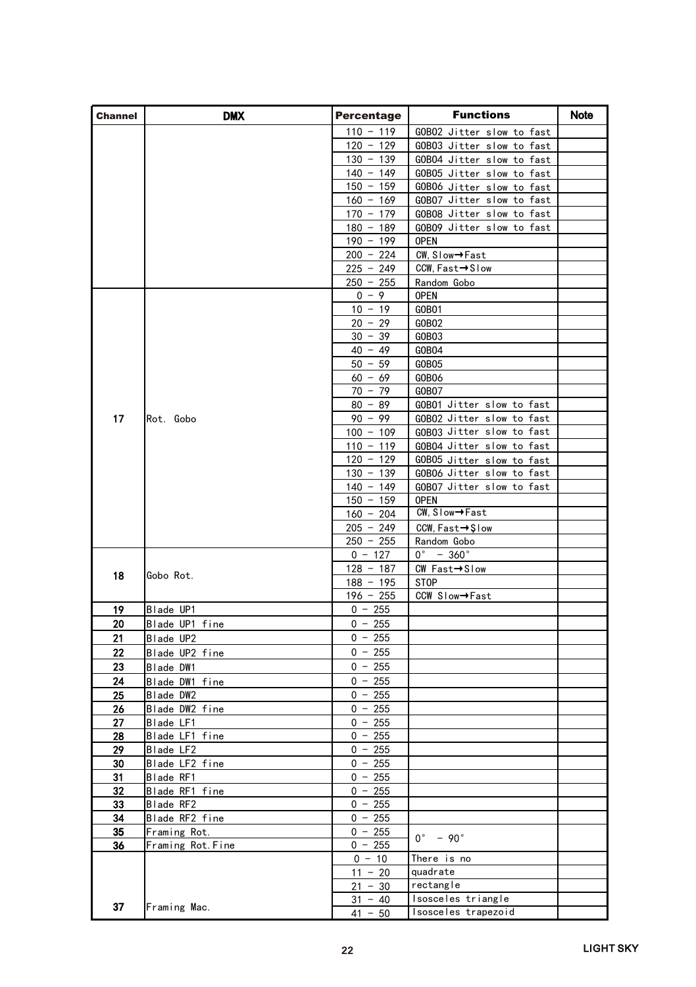| <b>Channel</b> | <b>DMX</b>                  | Percentage                 | <b>Functions</b>                   | Note |
|----------------|-----------------------------|----------------------------|------------------------------------|------|
|                |                             | $110 - 119$                | GOBO2 Jitter slow to fast          |      |
|                |                             | $120 - 129$                | GOBO3 Jitter slow to fast          |      |
|                |                             | $130 - 139$                | GOBO4 Jitter slow to fast          |      |
|                |                             | $140 - 149$                | GOBO5 Jitter slow to fast          |      |
|                |                             | $150 - 159$                | GOBO6 Jitter slow to fast          |      |
|                |                             | $160 - 169$                | GOBO7 Jitter slow to fast          |      |
|                |                             | $170 - 179$                | GOBO8 Jitter slow to fast          |      |
|                |                             | $180 - 189$                | GOBO9 Jitter slow to fast          |      |
|                |                             | $190 - 199$<br>$200 - 224$ | <b>OPEN</b><br>CW, Slow→Fast       |      |
|                |                             | $225 - 249$                | CCW, Fast→Slow                     |      |
|                |                             | $250 - 255$                | Random Gobo                        |      |
|                |                             | $0 - 9$                    | <b>OPEN</b>                        |      |
|                |                             | $10 - 19$                  | GOBO1                              |      |
|                |                             | $20 - 29$                  | GOBO <sub>2</sub>                  |      |
|                |                             | $30 - 39$                  | GOBO3                              |      |
|                |                             | $40 - 49$                  | GOB04                              |      |
|                |                             | $50 - 59$                  | GOBO <sub>5</sub>                  |      |
|                |                             | $60 - 69$                  | GOBO6                              |      |
|                |                             | $70 - 79$<br>$80 - 89$     | GOBO7<br>GOBO1 Jitter slow to fast |      |
| 17             | Rot. Gobo                   | $90 - 99$                  | GOBO2 Jitter slow to fast          |      |
|                |                             | $100 - 109$                | GOBO3 Jitter slow to fast          |      |
|                |                             | $110 - 119$                | GOBO4 Jitter slow to fast          |      |
|                |                             | $120 - 129$                | GOBO5 Jitter slow to fast          |      |
|                |                             | $130 - 139$                | GOBO6 Jitter slow to fast          |      |
|                |                             | $140 - 149$                | GOBO7 Jitter slow to fast          |      |
|                |                             | $150 - 159$                | <b>OPEN</b>                        |      |
|                |                             | $160 - 204$                | CW, Slow→Fast                      |      |
|                |                             | $205 - 249$<br>$250 - 255$ | CCW, Fast→Şlow<br>Random Gobo      |      |
|                |                             | $0 - 127$                  | $0^\circ$ - 360 $^\circ$           |      |
|                |                             | $128 - 187$                | CW Fast→Slow                       |      |
| 18             | Gobo Rot.                   | $188 - 195$                | STOP                               |      |
|                |                             | $196 - 255$                | CCW Slow→Fast                      |      |
| 19             | Blade UP1                   | $0 - 255$                  |                                    |      |
| 20             | Blade UP1 fine              | $0 - 255$                  |                                    |      |
| 21             | Blade UP2                   | $0 - 255$                  |                                    |      |
| 22             | Blade UP2 fine              | $0 - 255$                  |                                    |      |
| 23             | Blade DW1                   | $0 - 255$                  |                                    |      |
| 24             | Blade DW1 fine              | $0 - 255$<br>$0 - 255$     |                                    |      |
| 25<br>26       | Blade DW2<br>Blade DW2 fine | $0 - 255$                  |                                    |      |
| 27             | Blade LF1                   | $0 - 255$                  |                                    |      |
| 28             | Blade LF1 fine              | $0 - 255$                  |                                    |      |
| 29             | Blade LF2                   | $0 - 255$                  |                                    |      |
| 30             | Blade LF2 fine              | $0 - 255$                  |                                    |      |
| 31             | Blade RF1                   | $0 - 255$                  |                                    |      |
| 32             | Blade RF1 fine              | $0 - 255$                  |                                    |      |
| 33             | Blade RF2                   | $0 - 255$                  |                                    |      |
| 34             | Blade RF2 fine              | $0 - 255$                  |                                    |      |
| 35             | Framing Rot.                | $0 - 255$                  | $0^\circ$ - 90 $^\circ$            |      |
| 36             | Framing Rot. Fine           | $0 - 255$<br>$0 - 10$      | There is no                        |      |
|                |                             | $11 - 20$                  | quadrate                           |      |
|                |                             | $21 - 30$                  | rectangle                          |      |
|                |                             | $31 - 40$                  | Isosceles triangle                 |      |
| 37             | Framing Mac.                | $41 - 50$                  | Isosceles trapezoid                |      |